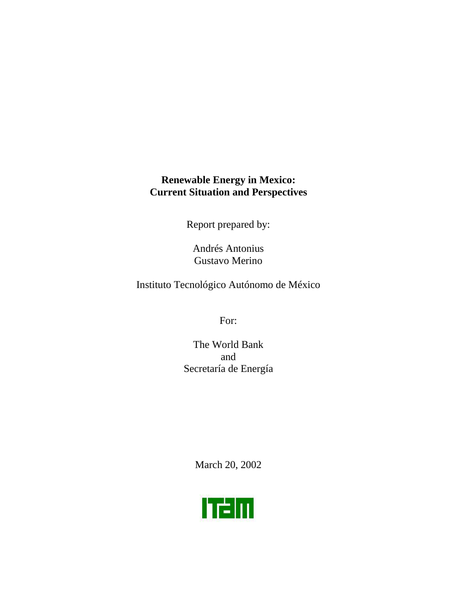## **Renewable Energy in Mexico: Current Situation and Perspectives**

Report prepared by:

Andrés Antonius Gustavo Merino

Instituto Tecnológico Autónomo de México

For:

The World Bank and Secretaría de Energía

March 20, 2002

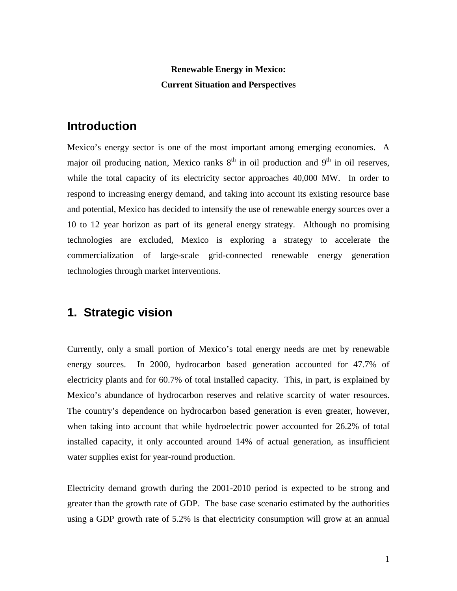## **Renewable Energy in Mexico: Current Situation and Perspectives**

# **Introduction**

Mexico's energy sector is one of the most important among emerging economies. A major oil producing nation, Mexico ranks  $8<sup>th</sup>$  in oil production and  $9<sup>th</sup>$  in oil reserves, while the total capacity of its electricity sector approaches 40,000 MW. In order to respond to increasing energy demand, and taking into account its existing resource base and potential, Mexico has decided to intensify the use of renewable energy sources over a 10 to 12 year horizon as part of its general energy strategy. Although no promising technologies are excluded, Mexico is exploring a strategy to accelerate the commercialization of large-scale grid-connected renewable energy generation technologies through market interventions.

# **1. Strategic vision**

Currently, only a small portion of Mexico's total energy needs are met by renewable energy sources. In 2000, hydrocarbon based generation accounted for 47.7% of electricity plants and for 60.7% of total installed capacity. This, in part, is explained by Mexico's abundance of hydrocarbon reserves and relative scarcity of water resources. The country's dependence on hydrocarbon based generation is even greater, however, when taking into account that while hydroelectric power accounted for 26.2% of total installed capacity, it only accounted around 14% of actual generation, as insufficient water supplies exist for year-round production.

Electricity demand growth during the 2001-2010 period is expected to be strong and greater than the growth rate of GDP. The base case scenario estimated by the authorities using a GDP growth rate of 5.2% is that electricity consumption will grow at an annual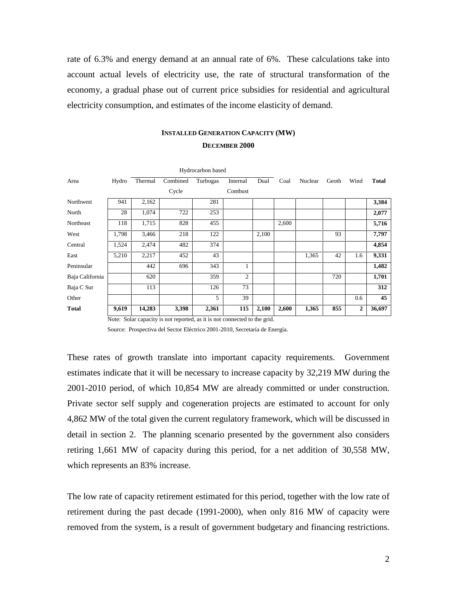rate of 6.3% and energy demand at an annual rate of 6%. These calculations take into account actual levels of electricity use, the rate of structural transformation of the economy, a gradual phase out of current price subsidies for residential and agricultural electricity consumption, and estimates of the income elasticity of demand.

### **INSTALLED GENERATION CAPACITY (MW) DECEMBER 2000**

|                 | Hydrocarbon based |         |          |          |                |       |       |         |       |                |              |
|-----------------|-------------------|---------|----------|----------|----------------|-------|-------|---------|-------|----------------|--------------|
| Area            | Hydro             | Thermal | Combined | Turbogas | Internal       | Dual  | Coal  | Nuclear | Geoth | Wind           | <b>Total</b> |
|                 |                   |         | Cycle    |          | Combust        |       |       |         |       |                |              |
| Northwest       | 941               | 2,162   |          | 281      |                |       |       |         |       |                | 3,384        |
| North           | 28                | 1,074   | 722      | 253      |                |       |       |         |       |                | 2,077        |
| Northeast       | 118               | 1,715   | 828      | 455      |                |       | 2,600 |         |       |                | 5,716        |
| West            | 1,798             | 3,466   | 218      | 122      |                | 2,100 |       |         | 93    |                | 7,797        |
| Central         | 1,524             | 2,474   | 482      | 374      |                |       |       |         |       |                | 4,854        |
| East            | 5,210             | 2,217   | 452      | 43       |                |       |       | 1,365   | 42    | 1.6            | 9,331        |
| Peninsular      |                   | 442     | 696      | 343      |                |       |       |         |       |                | 1,482        |
| Baja California |                   | 620     |          | 359      | $\overline{c}$ |       |       |         | 720   |                | 1,701        |
| Baja C Sur      |                   | 113     |          | 126      | 73             |       |       |         |       |                | 312          |
| Other           |                   |         |          | 5        | 39             |       |       |         |       | 0.6            | 45           |
| <b>Total</b>    | 9,619             | 14,283  | 3,398    | 2,361    | 115            | 2,100 | 2,600 | 1,365   | 855   | $\overline{2}$ | 36,697       |

Note: Solar capacity is not reported, as it is not connected to the grid.

Source: Prospectiva del Sector Eléctrico 2001-2010, Secretaría de Energía.

These rates of growth translate into important capacity requirements. Government estimates indicate that it will be necessary to increase capacity by 32,219 MW during the 2001-2010 period, of which 10,854 MW are already committed or under construction. Private sector self supply and cogeneration projects are estimated to account for only 4,862 MW of the total given the current regulatory framework, which will be discussed in detail in section 2. The planning scenario presented by the government also considers retiring 1,661 MW of capacity during this period, for a net addition of 30,558 MW, which represents an 83% increase.

The low rate of capacity retirement estimated for this period, together with the low rate of retirement during the past decade (1991-2000), when only 816 MW of capacity were removed from the system, is a result of government budgetary and financing restrictions.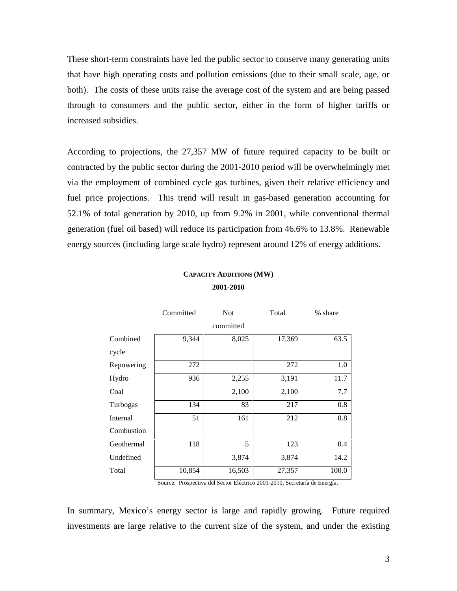These short-term constraints have led the public sector to conserve many generating units that have high operating costs and pollution emissions (due to their small scale, age, or both). The costs of these units raise the average cost of the system and are being passed through to consumers and the public sector, either in the form of higher tariffs or increased subsidies.

According to projections, the 27,357 MW of future required capacity to be built or contracted by the public sector during the 2001-2010 period will be overwhelmingly met via the employment of combined cycle gas turbines, given their relative efficiency and fuel price projections. This trend will result in gas-based generation accounting for 52.1% of total generation by 2010, up from 9.2% in 2001, while conventional thermal generation (fuel oil based) will reduce its participation from 46.6% to 13.8%. Renewable energy sources (including large scale hydro) represent around 12% of energy additions.

## **CAPACITY ADDITIONS (MW) 2001-2010**

|            | Committed | <b>Not</b> | Total  | % share |  |
|------------|-----------|------------|--------|---------|--|
|            |           | committed  |        |         |  |
| Combined   | 9,344     | 8,025      | 17,369 | 63.5    |  |
| cycle      |           |            |        |         |  |
| Repowering | 272       |            | 272    | 1.0     |  |
| Hydro      | 936       | 2,255      | 3,191  | 11.7    |  |
| Coal       |           | 2,100      | 2,100  | 7.7     |  |
| Turbogas   | 134       | 83         | 217    | 0.8     |  |
| Internal   | 51        | 161        | 212    | 0.8     |  |
| Combustion |           |            |        |         |  |
| Geothermal | 118       | 5          | 123    | 0.4     |  |
| Undefined  |           | 3,874      | 3,874  | 14.2    |  |
| Total      | 10,854    | 16,503     | 27,357 | 100.0   |  |

Source: Prospectiva del Sector Eléctrico 2001-2010, Secretaría de Energía.

In summary, Mexico's energy sector is large and rapidly growing. Future required investments are large relative to the current size of the system, and under the existing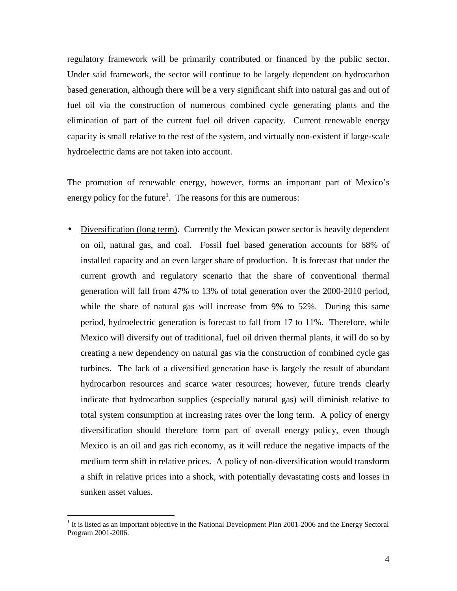regulatory framework will be primarily contributed or financed by the public sector. Under said framework, the sector will continue to be largely dependent on hydrocarbon based generation, although there will be a very significant shift into natural gas and out of fuel oil via the construction of numerous combined cycle generating plants and the elimination of part of the current fuel oil driven capacity. Current renewable energy capacity is small relative to the rest of the system, and virtually non-existent if large-scale hydroelectric dams are not taken into account.

The promotion of renewable energy, however, forms an important part of Mexico's energy policy for the future<sup>1</sup>. The reasons for this are numerous:

• Diversification (long term). Currently the Mexican power sector is heavily dependent on oil, natural gas, and coal. Fossil fuel based generation accounts for 68% of installed capacity and an even larger share of production. It is forecast that under the current growth and regulatory scenario that the share of conventional thermal generation will fall from 47% to 13% of total generation over the 2000-2010 period, while the share of natural gas will increase from 9% to 52%. During this same period, hydroelectric generation is forecast to fall from 17 to 11%. Therefore, while Mexico will diversify out of traditional, fuel oil driven thermal plants, it will do so by creating a new dependency on natural gas via the construction of combined cycle gas turbines. The lack of a diversified generation base is largely the result of abundant hydrocarbon resources and scarce water resources; however, future trends clearly indicate that hydrocarbon supplies (especially natural gas) will diminish relative to total system consumption at increasing rates over the long term. A policy of energy diversification should therefore form part of overall energy policy, even though Mexico is an oil and gas rich economy, as it will reduce the negative impacts of the medium term shift in relative prices. A policy of non-diversification would transform a shift in relative prices into a shock, with potentially devastating costs and losses in sunken asset values.

 $1$  It is listed as an important objective in the National Development Plan 2001-2006 and the Energy Sectoral Program 2001-2006.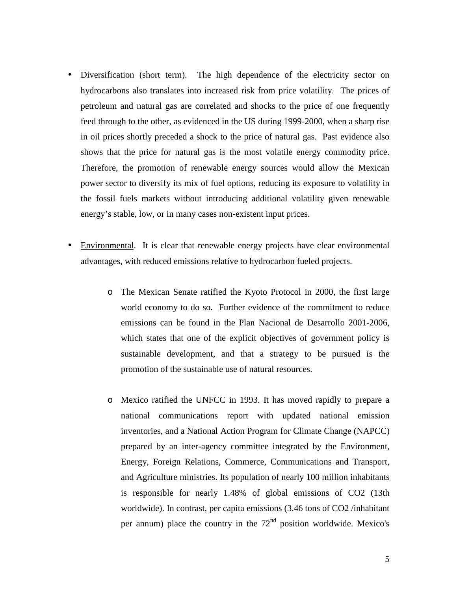- Diversification (short term). The high dependence of the electricity sector on hydrocarbons also translates into increased risk from price volatility. The prices of petroleum and natural gas are correlated and shocks to the price of one frequently feed through to the other, as evidenced in the US during 1999-2000, when a sharp rise in oil prices shortly preceded a shock to the price of natural gas. Past evidence also shows that the price for natural gas is the most volatile energy commodity price. Therefore, the promotion of renewable energy sources would allow the Mexican power sector to diversify its mix of fuel options, reducing its exposure to volatility in the fossil fuels markets without introducing additional volatility given renewable energy's stable, low, or in many cases non-existent input prices.
- Environmental. It is clear that renewable energy projects have clear environmental advantages, with reduced emissions relative to hydrocarbon fueled projects.
	- o The Mexican Senate ratified the Kyoto Protocol in 2000, the first large world economy to do so. Further evidence of the commitment to reduce emissions can be found in the Plan Nacional de Desarrollo 2001-2006, which states that one of the explicit objectives of government policy is sustainable development, and that a strategy to be pursued is the promotion of the sustainable use of natural resources.
	- o Mexico ratified the UNFCC in 1993. It has moved rapidly to prepare a national communications report with updated national emission inventories, and a National Action Program for Climate Change (NAPCC) prepared by an inter-agency committee integrated by the Environment, Energy, Foreign Relations, Commerce, Communications and Transport, and Agriculture ministries. Its population of nearly 100 million inhabitants is responsible for nearly 1.48% of global emissions of CO2 (13th worldwide). In contrast, per capita emissions (3.46 tons of CO2 /inhabitant per annum) place the country in the  $72<sup>nd</sup>$  position worldwide. Mexico's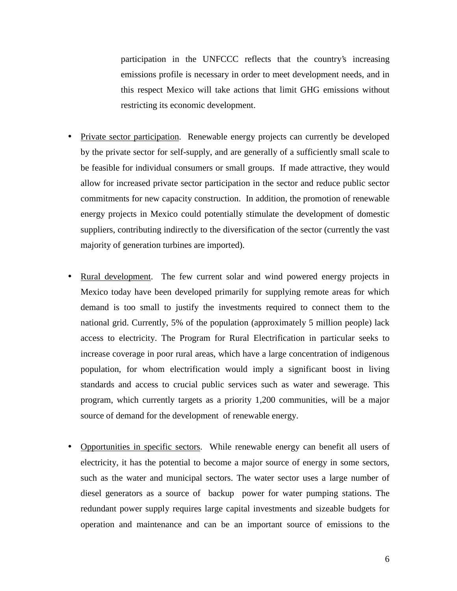participation in the UNFCCC reflects that the country's increasing emissions profile is necessary in order to meet development needs, and in this respect Mexico will take actions that limit GHG emissions without restricting its economic development.

- Private sector participation. Renewable energy projects can currently be developed by the private sector for self-supply, and are generally of a sufficiently small scale to be feasible for individual consumers or small groups. If made attractive, they would allow for increased private sector participation in the sector and reduce public sector commitments for new capacity construction. In addition, the promotion of renewable energy projects in Mexico could potentially stimulate the development of domestic suppliers, contributing indirectly to the diversification of the sector (currently the vast majority of generation turbines are imported).
- Rural development. The few current solar and wind powered energy projects in Mexico today have been developed primarily for supplying remote areas for which demand is too small to justify the investments required to connect them to the national grid. Currently, 5% of the population (approximately 5 million people) lack access to electricity. The Program for Rural Electrification in particular seeks to increase coverage in poor rural areas, which have a large concentration of indigenous population, for whom electrification would imply a significant boost in living standards and access to crucial public services such as water and sewerage. This program, which currently targets as a priority 1,200 communities, will be a major source of demand for the development of renewable energy.
- Opportunities in specific sectors. While renewable energy can benefit all users of electricity, it has the potential to become a major source of energy in some sectors, such as the water and municipal sectors. The water sector uses a large number of diesel generators as a source of backup power for water pumping stations. The redundant power supply requires large capital investments and sizeable budgets for operation and maintenance and can be an important source of emissions to the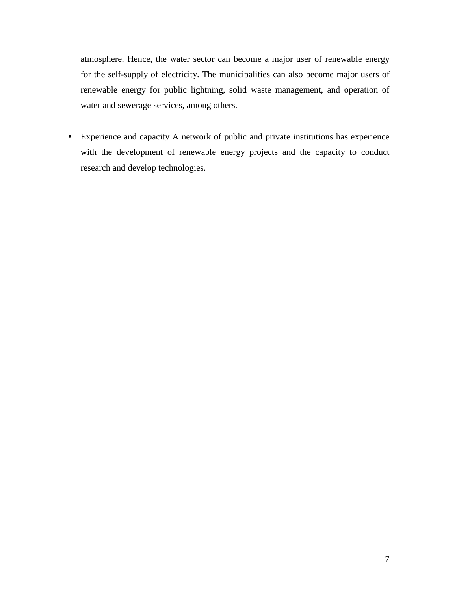atmosphere. Hence, the water sector can become a major user of renewable energy for the self-supply of electricity. The municipalities can also become major users of renewable energy for public lightning, solid waste management, and operation of water and sewerage services, among others.

• Experience and capacity A network of public and private institutions has experience with the development of renewable energy projects and the capacity to conduct research and develop technologies.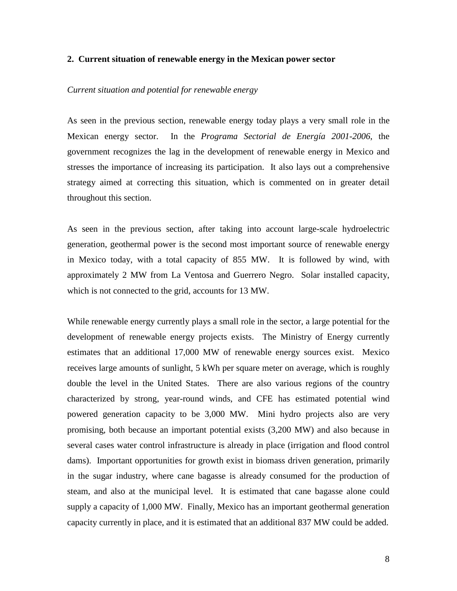#### **2. Current situation of renewable energy in the Mexican power sector**

#### *Current situation and potential for renewable energy*

As seen in the previous section, renewable energy today plays a very small role in the Mexican energy sector. In the *Programa Sectorial de Energía 2001-2006*, the government recognizes the lag in the development of renewable energy in Mexico and stresses the importance of increasing its participation. It also lays out a comprehensive strategy aimed at correcting this situation, which is commented on in greater detail throughout this section.

As seen in the previous section, after taking into account large-scale hydroelectric generation, geothermal power is the second most important source of renewable energy in Mexico today, with a total capacity of 855 MW. It is followed by wind, with approximately 2 MW from La Ventosa and Guerrero Negro. Solar installed capacity, which is not connected to the grid, accounts for 13 MW.

While renewable energy currently plays a small role in the sector, a large potential for the development of renewable energy projects exists. The Ministry of Energy currently estimates that an additional 17,000 MW of renewable energy sources exist. Mexico receives large amounts of sunlight, 5 kWh per square meter on average, which is roughly double the level in the United States. There are also various regions of the country characterized by strong, year-round winds, and CFE has estimated potential wind powered generation capacity to be 3,000 MW. Mini hydro projects also are very promising, both because an important potential exists (3,200 MW) and also because in several cases water control infrastructure is already in place (irrigation and flood control dams). Important opportunities for growth exist in biomass driven generation, primarily in the sugar industry, where cane bagasse is already consumed for the production of steam, and also at the municipal level. It is estimated that cane bagasse alone could supply a capacity of 1,000 MW. Finally, Mexico has an important geothermal generation capacity currently in place, and it is estimated that an additional 837 MW could be added.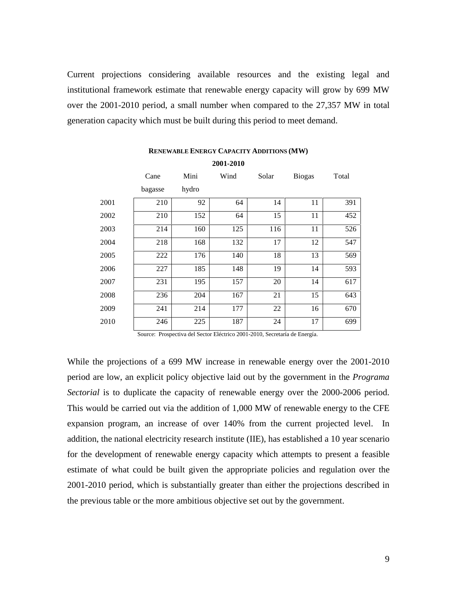Current projections considering available resources and the existing legal and institutional framework estimate that renewable energy capacity will grow by 699 MW over the 2001-2010 period, a small number when compared to the 27,357 MW in total generation capacity which must be built during this period to meet demand.

|      | Cane    | Mini  | Wind | Solar | <b>Biogas</b> | Total |  |
|------|---------|-------|------|-------|---------------|-------|--|
|      | bagasse | hydro |      |       |               |       |  |
| 2001 | 210     | 92    | 64   | 14    | 11            | 391   |  |
| 2002 | 210     | 152   | 64   | 15    | 11            | 452   |  |
| 2003 | 214     | 160   | 125  | 116   | 11            | 526   |  |
| 2004 | 218     | 168   | 132  | 17    | 12            | 547   |  |
| 2005 | 222     | 176   | 140  | 18    | 13            | 569   |  |
| 2006 | 227     | 185   | 148  | 19    | 14            | 593   |  |
| 2007 | 231     | 195   | 157  | 20    | 14            | 617   |  |
| 2008 | 236     | 204   | 167  | 21    | 15            | 643   |  |
| 2009 | 241     | 214   | 177  | 22    | 16            | 670   |  |
| 2010 | 246     | 225   | 187  | 24    | 17            | 699   |  |

### **RENEWABLE ENERGY CAPACITY ADDITIONS (MW) 2001-2010**

Source: Prospectiva del Sector Eléctrico 2001-2010, Secretaría de Energía.

While the projections of a 699 MW increase in renewable energy over the 2001-2010 period are low, an explicit policy objective laid out by the government in the *Programa Sectorial* is to duplicate the capacity of renewable energy over the 2000-2006 period. This would be carried out via the addition of 1,000 MW of renewable energy to the CFE expansion program, an increase of over 140% from the current projected level. In addition, the national electricity research institute (IIE), has established a 10 year scenario for the development of renewable energy capacity which attempts to present a feasible estimate of what could be built given the appropriate policies and regulation over the 2001-2010 period, which is substantially greater than either the projections described in the previous table or the more ambitious objective set out by the government.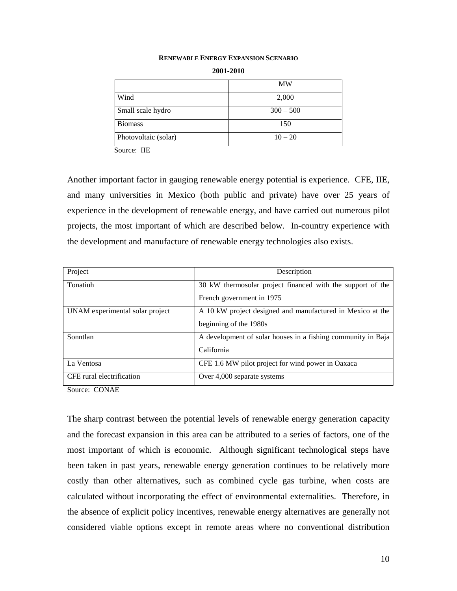#### **RENEWABLE ENERGY EXPANSION SCENARIO**

|                      | MW          |
|----------------------|-------------|
| Wind                 | 2,000       |
| Small scale hydro    | $300 - 500$ |
| <b>Biomass</b>       | 150         |
| Photovoltaic (solar) | $10 - 20$   |
| ----                 |             |

**2001-2010** 

Source: IIE

Another important factor in gauging renewable energy potential is experience. CFE, IIE, and many universities in Mexico (both public and private) have over 25 years of experience in the development of renewable energy, and have carried out numerous pilot projects, the most important of which are described below. In-country experience with the development and manufacture of renewable energy technologies also exists.

| Project                         | Description                                                  |
|---------------------------------|--------------------------------------------------------------|
| Tonatiuh                        | 30 kW thermosolar project financed with the support of the   |
|                                 | French government in 1975                                    |
| UNAM experimental solar project | A 10 kW project designed and manufactured in Mexico at the   |
|                                 | beginning of the 1980s                                       |
| Sonntlan                        | A development of solar houses in a fishing community in Baja |
|                                 | California                                                   |
| La Ventosa                      | CFE 1.6 MW pilot project for wind power in Oaxaca            |
| CFE rural electrification       | Over 4,000 separate systems                                  |

Source: CONAE

The sharp contrast between the potential levels of renewable energy generation capacity and the forecast expansion in this area can be attributed to a series of factors, one of the most important of which is economic. Although significant technological steps have been taken in past years, renewable energy generation continues to be relatively more costly than other alternatives, such as combined cycle gas turbine, when costs are calculated without incorporating the effect of environmental externalities. Therefore, in the absence of explicit policy incentives, renewable energy alternatives are generally not considered viable options except in remote areas where no conventional distribution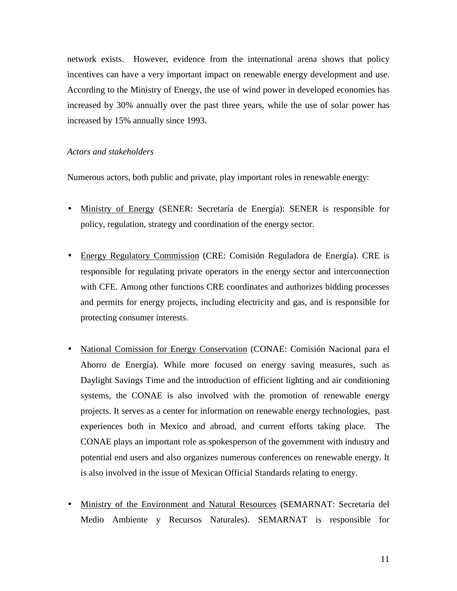network exists. However, evidence from the international arena shows that policy incentives can have a very important impact on renewable energy development and use. According to the Ministry of Energy, the use of wind power in developed economies has increased by 30% annually over the past three years, while the use of solar power has increased by 15% annually since 1993.

#### *Actors and stakeholders*

Numerous actors, both public and private, play important roles in renewable energy:

- Ministry of Energy (SENER: Secretaría de Energía): SENER is responsible for policy, regulation, strategy and coordination of the energy sector.
- Energy Regulatory Commission (CRE: Comisión Reguladora de Energía). CRE is responsible for regulating private operators in the energy sector and interconnection with CFE. Among other functions CRE coordinates and authorizes bidding processes and permits for energy projects, including electricity and gas, and is responsible for protecting consumer interests.
- National Comission for Energy Conservation (CONAE: Comisión Nacional para el Ahorro de Energía). While more focused on energy saving measures, such as Daylight Savings Time and the introduction of efficient lighting and air conditioning systems, the CONAE is also involved with the promotion of renewable energy projects. It serves as a center for information on renewable energy technologies, past experiences both in Mexico and abroad, and current efforts taking place. The CONAE plays an important role as spokesperson of the government with industry and potential end users and also organizes numerous conferences on renewable energy. It is also involved in the issue of Mexican Official Standards relating to energy.
- Ministry of the Environment and Natural Resources (SEMARNAT: Secretaría del Medio Ambiente y Recursos Naturales). SEMARNAT is responsible for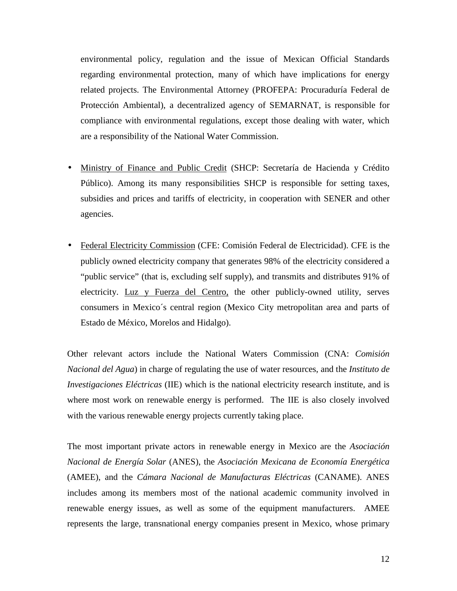environmental policy, regulation and the issue of Mexican Official Standards regarding environmental protection, many of which have implications for energy related projects. The Environmental Attorney (PROFEPA: Procuraduría Federal de Protección Ambiental), a decentralized agency of SEMARNAT, is responsible for compliance with environmental regulations, except those dealing with water, which are a responsibility of the National Water Commission.

- Ministry of Finance and Public Credit (SHCP: Secretaría de Hacienda y Crédito Público). Among its many responsibilities SHCP is responsible for setting taxes, subsidies and prices and tariffs of electricity, in cooperation with SENER and other agencies.
- Federal Electricity Commission (CFE: Comisión Federal de Electricidad). CFE is the publicly owned electricity company that generates 98% of the electricity considered a "public service" (that is, excluding self supply), and transmits and distributes 91% of electricity. Luz y Fuerza del Centro, the other publicly-owned utility, serves consumers in Mexico´s central region (Mexico City metropolitan area and parts of Estado de México, Morelos and Hidalgo).

Other relevant actors include the National Waters Commission (CNA: *Comisión Nacional del Agua*) in charge of regulating the use of water resources, and the *Instituto de Investigaciones Eléctricas* (IIE) which is the national electricity research institute, and is where most work on renewable energy is performed. The IIE is also closely involved with the various renewable energy projects currently taking place.

The most important private actors in renewable energy in Mexico are the *Asociación Nacional de Energía Solar* (ANES), the *Asociación Mexicana de Economía Energética* (AMEE), and the *Cámara Nacional de Manufacturas Eléctricas* (CANAME). ANES includes among its members most of the national academic community involved in renewable energy issues, as well as some of the equipment manufacturers. AMEE represents the large, transnational energy companies present in Mexico, whose primary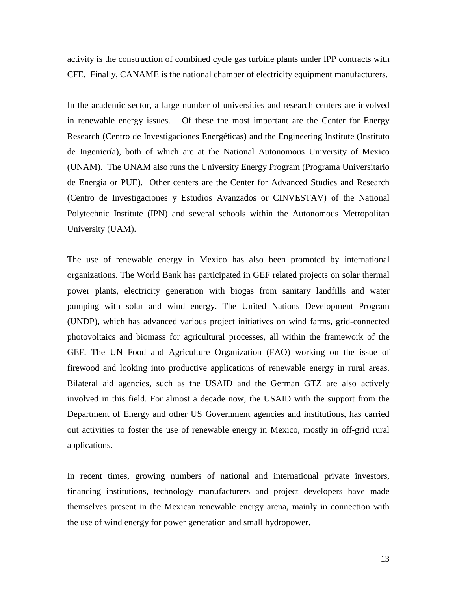activity is the construction of combined cycle gas turbine plants under IPP contracts with CFE. Finally, CANAME is the national chamber of electricity equipment manufacturers.

In the academic sector, a large number of universities and research centers are involved in renewable energy issues. Of these the most important are the Center for Energy Research (Centro de Investigaciones Energéticas) and the Engineering Institute (Instituto de Ingeniería), both of which are at the National Autonomous University of Mexico (UNAM). The UNAM also runs the University Energy Program (Programa Universitario de Energía or PUE). Other centers are the Center for Advanced Studies and Research (Centro de Investigaciones y Estudios Avanzados or CINVESTAV) of the National Polytechnic Institute (IPN) and several schools within the Autonomous Metropolitan University (UAM).

The use of renewable energy in Mexico has also been promoted by international organizations. The World Bank has participated in GEF related projects on solar thermal power plants, electricity generation with biogas from sanitary landfills and water pumping with solar and wind energy. The United Nations Development Program (UNDP), which has advanced various project initiatives on wind farms, grid-connected photovoltaics and biomass for agricultural processes, all within the framework of the GEF. The UN Food and Agriculture Organization (FAO) working on the issue of firewood and looking into productive applications of renewable energy in rural areas. Bilateral aid agencies, such as the USAID and the German GTZ are also actively involved in this field. For almost a decade now, the USAID with the support from the Department of Energy and other US Government agencies and institutions, has carried out activities to foster the use of renewable energy in Mexico, mostly in off-grid rural applications.

In recent times, growing numbers of national and international private investors, financing institutions, technology manufacturers and project developers have made themselves present in the Mexican renewable energy arena, mainly in connection with the use of wind energy for power generation and small hydropower.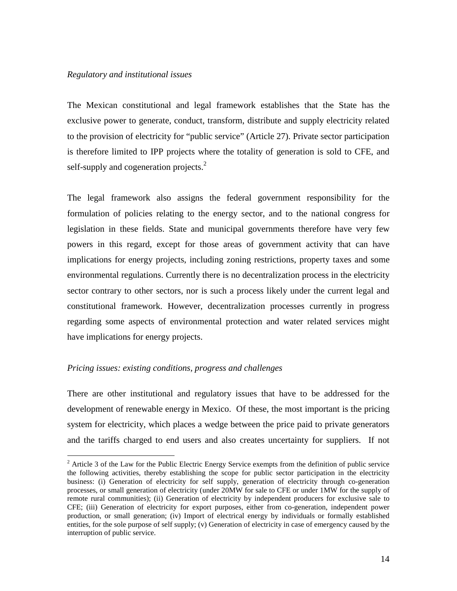#### *Regulatory and institutional issues*

The Mexican constitutional and legal framework establishes that the State has the exclusive power to generate, conduct, transform, distribute and supply electricity related to the provision of electricity for "public service" (Article 27). Private sector participation is therefore limited to IPP projects where the totality of generation is sold to CFE, and self-supply and cogeneration projects. $<sup>2</sup>$ </sup>

The legal framework also assigns the federal government responsibility for the formulation of policies relating to the energy sector, and to the national congress for legislation in these fields. State and municipal governments therefore have very few powers in this regard, except for those areas of government activity that can have implications for energy projects, including zoning restrictions, property taxes and some environmental regulations. Currently there is no decentralization process in the electricity sector contrary to other sectors, nor is such a process likely under the current legal and constitutional framework. However, decentralization processes currently in progress regarding some aspects of environmental protection and water related services might have implications for energy projects.

#### *Pricing issues: existing conditions, progress and challenges*

There are other institutional and regulatory issues that have to be addressed for the development of renewable energy in Mexico. Of these, the most important is the pricing system for electricity, which places a wedge between the price paid to private generators and the tariffs charged to end users and also creates uncertainty for suppliers. If not

<sup>&</sup>lt;sup>2</sup> Article 3 of the Law for the Public Electric Energy Service exempts from the definition of public service the following activities, thereby establishing the scope for public sector participation in the electricity business: (i) Generation of electricity for self supply, generation of electricity through co-generation processes, or small generation of electricity (under 20MW for sale to CFE or under 1MW for the supply of remote rural communities); (ii) Generation of electricity by independent producers for exclusive sale to CFE; (iii) Generation of electricity for export purposes, either from co-generation, independent power production, or small generation; (iv) Import of electrical energy by individuals or formally established entities, for the sole purpose of self supply; (v) Generation of electricity in case of emergency caused by the interruption of public service.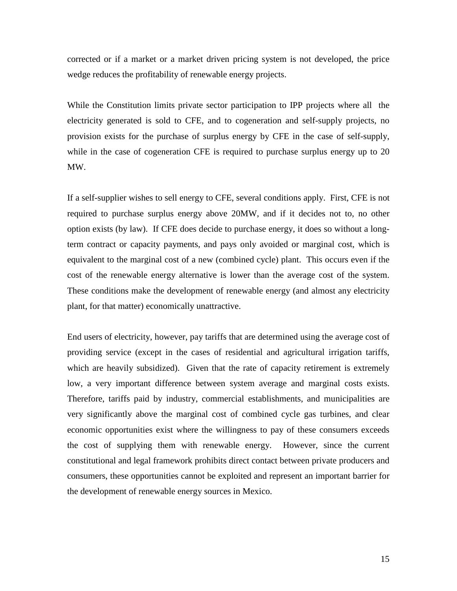corrected or if a market or a market driven pricing system is not developed, the price wedge reduces the profitability of renewable energy projects.

While the Constitution limits private sector participation to IPP projects where all the electricity generated is sold to CFE, and to cogeneration and self-supply projects, no provision exists for the purchase of surplus energy by CFE in the case of self-supply, while in the case of cogeneration CFE is required to purchase surplus energy up to 20 MW.

If a self-supplier wishes to sell energy to CFE, several conditions apply. First, CFE is not required to purchase surplus energy above 20MW, and if it decides not to, no other option exists (by law). If CFE does decide to purchase energy, it does so without a longterm contract or capacity payments, and pays only avoided or marginal cost, which is equivalent to the marginal cost of a new (combined cycle) plant. This occurs even if the cost of the renewable energy alternative is lower than the average cost of the system. These conditions make the development of renewable energy (and almost any electricity plant, for that matter) economically unattractive.

End users of electricity, however, pay tariffs that are determined using the average cost of providing service (except in the cases of residential and agricultural irrigation tariffs, which are heavily subsidized). Given that the rate of capacity retirement is extremely low, a very important difference between system average and marginal costs exists. Therefore, tariffs paid by industry, commercial establishments, and municipalities are very significantly above the marginal cost of combined cycle gas turbines, and clear economic opportunities exist where the willingness to pay of these consumers exceeds the cost of supplying them with renewable energy. However, since the current constitutional and legal framework prohibits direct contact between private producers and consumers, these opportunities cannot be exploited and represent an important barrier for the development of renewable energy sources in Mexico.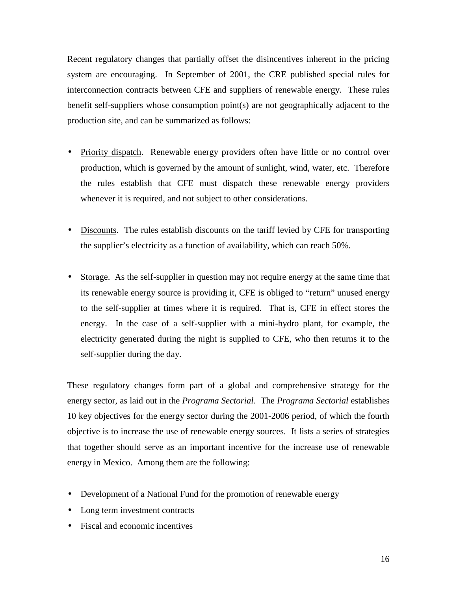Recent regulatory changes that partially offset the disincentives inherent in the pricing system are encouraging. In September of 2001, the CRE published special rules for interconnection contracts between CFE and suppliers of renewable energy. These rules benefit self-suppliers whose consumption point(s) are not geographically adjacent to the production site, and can be summarized as follows:

- Priority dispatch. Renewable energy providers often have little or no control over production, which is governed by the amount of sunlight, wind, water, etc. Therefore the rules establish that CFE must dispatch these renewable energy providers whenever it is required, and not subject to other considerations.
- Discounts. The rules establish discounts on the tariff levied by CFE for transporting the supplier's electricity as a function of availability, which can reach 50%.
- Storage. As the self-supplier in question may not require energy at the same time that its renewable energy source is providing it, CFE is obliged to "return" unused energy to the self-supplier at times where it is required. That is, CFE in effect stores the energy. In the case of a self-supplier with a mini-hydro plant, for example, the electricity generated during the night is supplied to CFE, who then returns it to the self-supplier during the day.

These regulatory changes form part of a global and comprehensive strategy for the energy sector, as laid out in the *Programa Sectorial*. The *Programa Sectorial* establishes 10 key objectives for the energy sector during the 2001-2006 period, of which the fourth objective is to increase the use of renewable energy sources. It lists a series of strategies that together should serve as an important incentive for the increase use of renewable energy in Mexico. Among them are the following:

- Development of a National Fund for the promotion of renewable energy
- Long term investment contracts
- Fiscal and economic incentives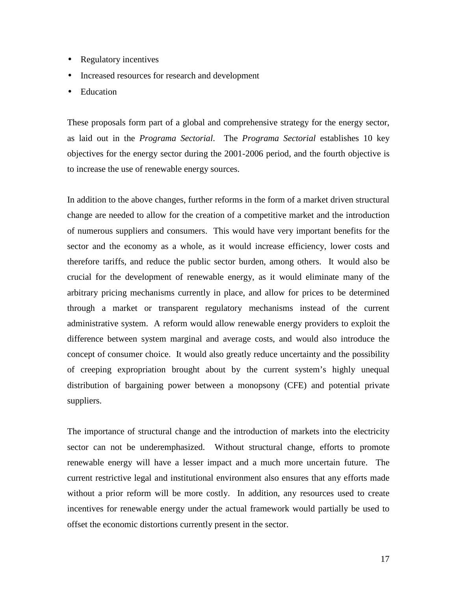- Regulatory incentives
- Increased resources for research and development
- Education

These proposals form part of a global and comprehensive strategy for the energy sector, as laid out in the *Programa Sectorial*. The *Programa Sectorial* establishes 10 key objectives for the energy sector during the 2001-2006 period, and the fourth objective is to increase the use of renewable energy sources.

In addition to the above changes, further reforms in the form of a market driven structural change are needed to allow for the creation of a competitive market and the introduction of numerous suppliers and consumers. This would have very important benefits for the sector and the economy as a whole, as it would increase efficiency, lower costs and therefore tariffs, and reduce the public sector burden, among others. It would also be crucial for the development of renewable energy, as it would eliminate many of the arbitrary pricing mechanisms currently in place, and allow for prices to be determined through a market or transparent regulatory mechanisms instead of the current administrative system. A reform would allow renewable energy providers to exploit the difference between system marginal and average costs, and would also introduce the concept of consumer choice. It would also greatly reduce uncertainty and the possibility of creeping expropriation brought about by the current system's highly unequal distribution of bargaining power between a monopsony (CFE) and potential private suppliers.

The importance of structural change and the introduction of markets into the electricity sector can not be underemphasized. Without structural change, efforts to promote renewable energy will have a lesser impact and a much more uncertain future. The current restrictive legal and institutional environment also ensures that any efforts made without a prior reform will be more costly. In addition, any resources used to create incentives for renewable energy under the actual framework would partially be used to offset the economic distortions currently present in the sector.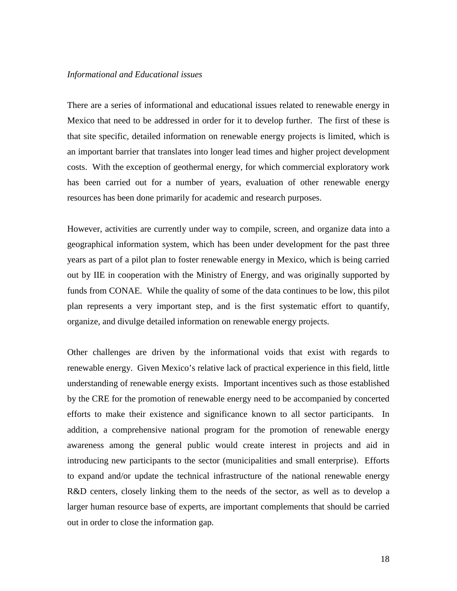#### *Informational and Educational issues*

There are a series of informational and educational issues related to renewable energy in Mexico that need to be addressed in order for it to develop further. The first of these is that site specific, detailed information on renewable energy projects is limited, which is an important barrier that translates into longer lead times and higher project development costs. With the exception of geothermal energy, for which commercial exploratory work has been carried out for a number of years, evaluation of other renewable energy resources has been done primarily for academic and research purposes.

However, activities are currently under way to compile, screen, and organize data into a geographical information system, which has been under development for the past three years as part of a pilot plan to foster renewable energy in Mexico, which is being carried out by IIE in cooperation with the Ministry of Energy, and was originally supported by funds from CONAE. While the quality of some of the data continues to be low, this pilot plan represents a very important step, and is the first systematic effort to quantify, organize, and divulge detailed information on renewable energy projects.

Other challenges are driven by the informational voids that exist with regards to renewable energy. Given Mexico's relative lack of practical experience in this field, little understanding of renewable energy exists. Important incentives such as those established by the CRE for the promotion of renewable energy need to be accompanied by concerted efforts to make their existence and significance known to all sector participants. In addition, a comprehensive national program for the promotion of renewable energy awareness among the general public would create interest in projects and aid in introducing new participants to the sector (municipalities and small enterprise). Efforts to expand and/or update the technical infrastructure of the national renewable energy R&D centers, closely linking them to the needs of the sector, as well as to develop a larger human resource base of experts, are important complements that should be carried out in order to close the information gap.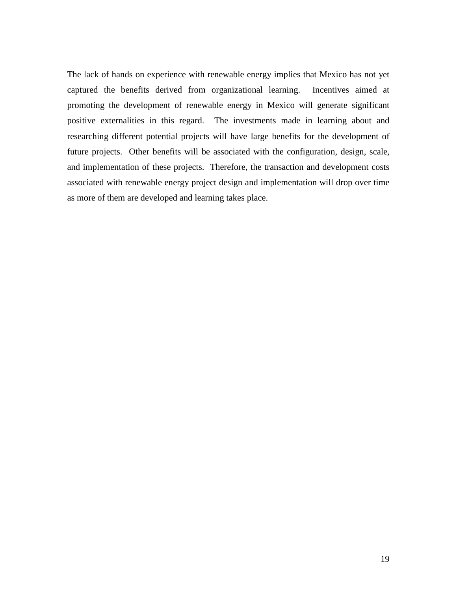The lack of hands on experience with renewable energy implies that Mexico has not yet captured the benefits derived from organizational learning. Incentives aimed at promoting the development of renewable energy in Mexico will generate significant positive externalities in this regard. The investments made in learning about and researching different potential projects will have large benefits for the development of future projects. Other benefits will be associated with the configuration, design, scale, and implementation of these projects. Therefore, the transaction and development costs associated with renewable energy project design and implementation will drop over time as more of them are developed and learning takes place.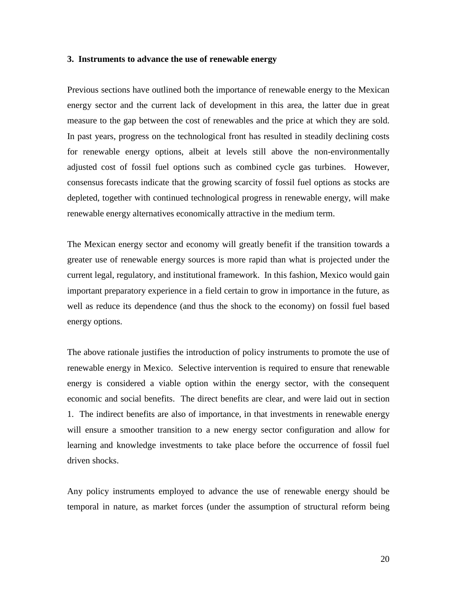#### **3. Instruments to advance the use of renewable energy**

Previous sections have outlined both the importance of renewable energy to the Mexican energy sector and the current lack of development in this area, the latter due in great measure to the gap between the cost of renewables and the price at which they are sold. In past years, progress on the technological front has resulted in steadily declining costs for renewable energy options, albeit at levels still above the non-environmentally adjusted cost of fossil fuel options such as combined cycle gas turbines. However, consensus forecasts indicate that the growing scarcity of fossil fuel options as stocks are depleted, together with continued technological progress in renewable energy, will make renewable energy alternatives economically attractive in the medium term.

The Mexican energy sector and economy will greatly benefit if the transition towards a greater use of renewable energy sources is more rapid than what is projected under the current legal, regulatory, and institutional framework. In this fashion, Mexico would gain important preparatory experience in a field certain to grow in importance in the future, as well as reduce its dependence (and thus the shock to the economy) on fossil fuel based energy options.

The above rationale justifies the introduction of policy instruments to promote the use of renewable energy in Mexico. Selective intervention is required to ensure that renewable energy is considered a viable option within the energy sector, with the consequent economic and social benefits. The direct benefits are clear, and were laid out in section 1. The indirect benefits are also of importance, in that investments in renewable energy will ensure a smoother transition to a new energy sector configuration and allow for learning and knowledge investments to take place before the occurrence of fossil fuel driven shocks.

Any policy instruments employed to advance the use of renewable energy should be temporal in nature, as market forces (under the assumption of structural reform being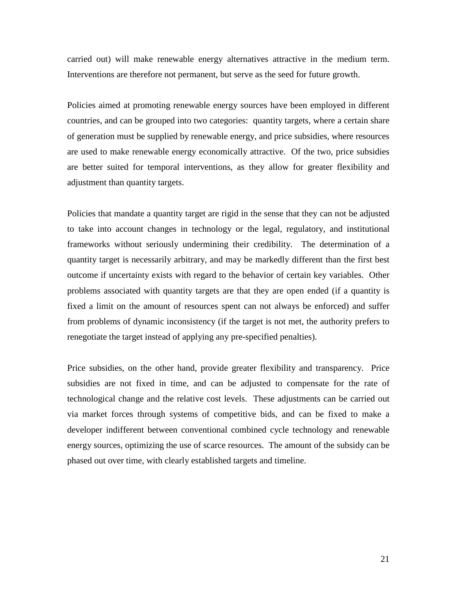carried out) will make renewable energy alternatives attractive in the medium term. Interventions are therefore not permanent, but serve as the seed for future growth.

Policies aimed at promoting renewable energy sources have been employed in different countries, and can be grouped into two categories: quantity targets, where a certain share of generation must be supplied by renewable energy, and price subsidies, where resources are used to make renewable energy economically attractive. Of the two, price subsidies are better suited for temporal interventions, as they allow for greater flexibility and adjustment than quantity targets.

Policies that mandate a quantity target are rigid in the sense that they can not be adjusted to take into account changes in technology or the legal, regulatory, and institutional frameworks without seriously undermining their credibility. The determination of a quantity target is necessarily arbitrary, and may be markedly different than the first best outcome if uncertainty exists with regard to the behavior of certain key variables. Other problems associated with quantity targets are that they are open ended (if a quantity is fixed a limit on the amount of resources spent can not always be enforced) and suffer from problems of dynamic inconsistency (if the target is not met, the authority prefers to renegotiate the target instead of applying any pre-specified penalties).

Price subsidies, on the other hand, provide greater flexibility and transparency. Price subsidies are not fixed in time, and can be adjusted to compensate for the rate of technological change and the relative cost levels. These adjustments can be carried out via market forces through systems of competitive bids, and can be fixed to make a developer indifferent between conventional combined cycle technology and renewable energy sources, optimizing the use of scarce resources. The amount of the subsidy can be phased out over time, with clearly established targets and timeline.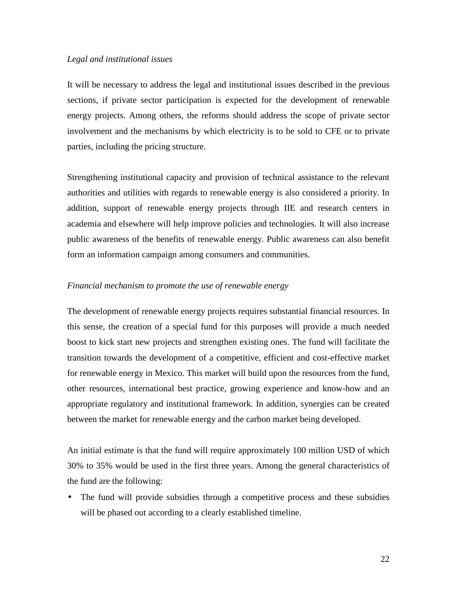#### *Legal and institutional issues*

It will be necessary to address the legal and institutional issues described in the previous sections, if private sector participation is expected for the development of renewable energy projects. Among others, the reforms should address the scope of private sector involvement and the mechanisms by which electricity is to be sold to CFE or to private parties, including the pricing structure.

Strengthening institutional capacity and provision of technical assistance to the relevant authorities and utilities with regards to renewable energy is also considered a priority. In addition, support of renewable energy projects through IIE and research centers in academia and elsewhere will help improve policies and technologies. It will also increase public awareness of the benefits of renewable energy. Public awareness can also benefit form an information campaign among consumers and communities.

#### *Financial mechanism to promote the use of renewable energy*

The development of renewable energy projects requires substantial financial resources. In this sense, the creation of a special fund for this purposes will provide a much needed boost to kick start new projects and strengthen existing ones. The fund will facilitate the transition towards the development of a competitive, efficient and cost-effective market for renewable energy in Mexico. This market will build upon the resources from the fund, other resources, international best practice, growing experience and know-how and an appropriate regulatory and institutional framework. In addition, synergies can be created between the market for renewable energy and the carbon market being developed.

An initial estimate is that the fund will require approximately 100 million USD of which 30% to 35% would be used in the first three years. Among the general characteristics of the fund are the following:

• The fund will provide subsidies through a competitive process and these subsidies will be phased out according to a clearly established timeline.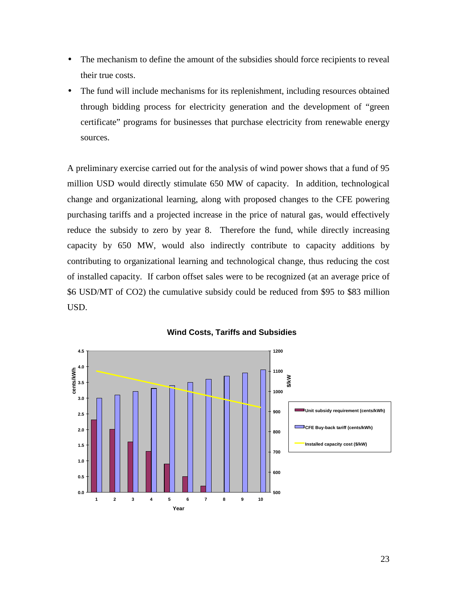- The mechanism to define the amount of the subsidies should force recipients to reveal their true costs.
- The fund will include mechanisms for its replenishment, including resources obtained through bidding process for electricity generation and the development of "green certificate" programs for businesses that purchase electricity from renewable energy sources.

A preliminary exercise carried out for the analysis of wind power shows that a fund of 95 million USD would directly stimulate 650 MW of capacity. In addition, technological change and organizational learning, along with proposed changes to the CFE powering purchasing tariffs and a projected increase in the price of natural gas, would effectively reduce the subsidy to zero by year 8. Therefore the fund, while directly increasing capacity by 650 MW, would also indirectly contribute to capacity additions by contributing to organizational learning and technological change, thus reducing the cost of installed capacity. If carbon offset sales were to be recognized (at an average price of \$6 USD/MT of CO2) the cumulative subsidy could be reduced from \$95 to \$83 million USD.



**Wind Costs, Tariffs and Subsidies**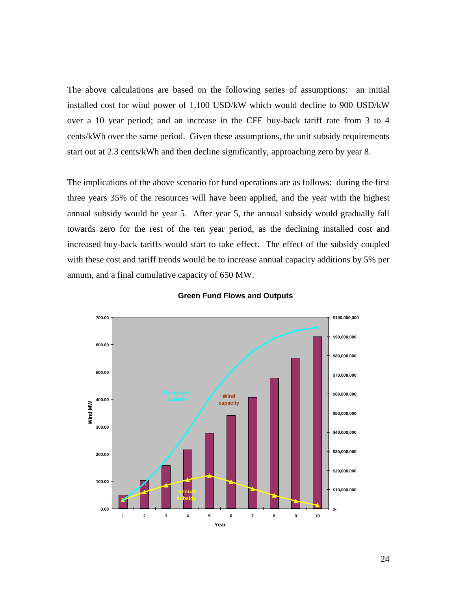The above calculations are based on the following series of assumptions: an initial installed cost for wind power of 1,100 USD/kW which would decline to 900 USD/kW over a 10 year period; and an increase in the CFE buy-back tariff rate from 3 to 4 cents/kWh over the same period. Given these assumptions, the unit subsidy requirements start out at 2.3 cents/kWh and then decline significantly, approaching zero by year 8.

The implications of the above scenario for fund operations are as follows: during the first three years 35% of the resources will have been applied, and the year with the highest annual subsidy would be year 5. After year 5, the annual subsidy would gradually fall towards zero for the rest of the ten year period, as the declining installed cost and increased buy-back tariffs would start to take effect. The effect of the subsidy coupled with these cost and tariff trends would be to increase annual capacity additions by 5% per annum, and a final cumulative capacity of 650 MW.



**Green Fund Flows and Outputs**